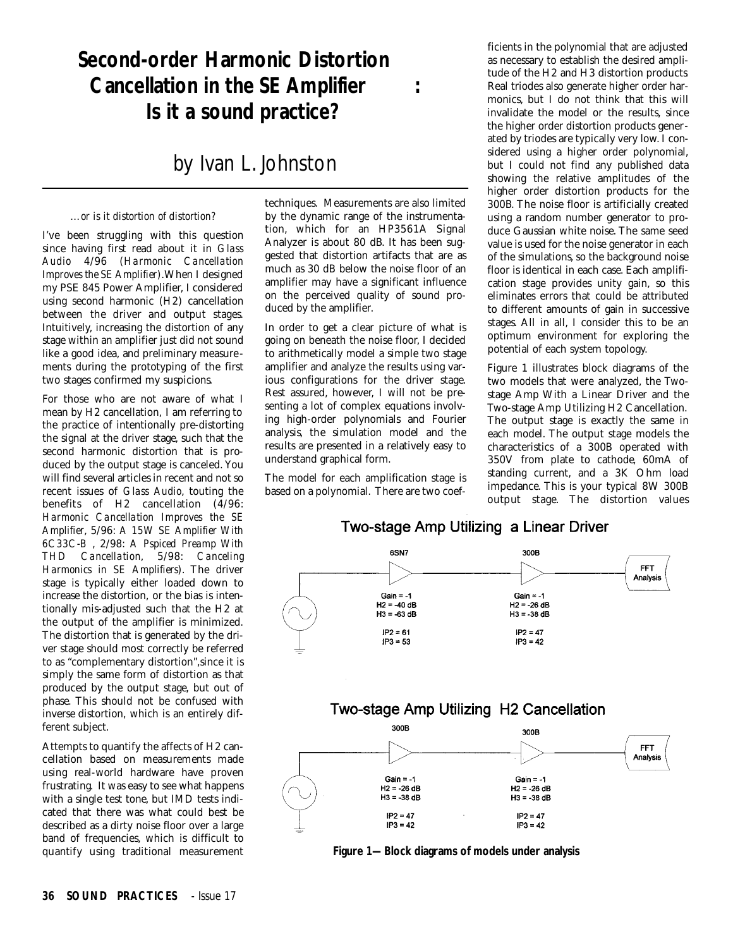# **Second-order Harmonic Distortion Cancellation in the SE Amplifier : Is it a sound practice?**

## by Ivan L. Johnston

## …*or is it distortion of distortion?*

I've been struggling with this question since having first read about it in *Glass Au d i o* 4/96 (*Harmonic Cancellation Improves the SE Amplifier*).When I designed my PSE 845 Power Amplifier, I considered using second harmonic (H2) cancellation between the driver and output stages. Intuitively, increasing the distortion of any stage within an amplifier just did not sound like a good idea, and preliminary measurements during the prototyping of the first two stages confirmed my suspicions.

For those who are not aware of what I mean by H2 cancellation, I am referring to the practice of intentionally pre-distorting the signal at the driver stage, such that the second harmonic distortion that is produced by the output stage is canceled. You will find several articles in recent and not so recent issues of *Glass Audio*, touting the benefits of H2 cancellation (4/96: *Harmonic Cancellation Improves the SE Amplifier*, 5/96: *A 15W SE Amplifier With 6C33C-B* , 2/98: *A Pspiced Preamp With THD Cancellation, 5/98: Canceling Harmonics in SE Amplifiers*). The driver stage is typically either loaded down to increase the distortion, or the bias is intentionally mis-adjusted such that the H2 at the output of the amplifier is minimized. The distortion that is generated by the driver stage should most correctly be referred to as "complementary distortion",since it is simply the same form of distortion as that produced by the output stage, but out of phase. This should not be confused with inverse distortion, which is an entirely different subject.

Attempts to quantify the affects of H2 cancellation based on measurements made using real-world hardware have proven frustrating. It was easy to see what happens with a single test tone, but IMD tests indicated that there was what could best be described as a dirty noise floor over a large band of frequencies, which is difficult to quantify using traditional measurement techniques. Measurements are also limited by the dynamic range of the instrumentation, which for an HP3561A Signal Analyzer is about 80 dB. It has been suggested that distortion artifacts that are as much as 30 dB below the noise floor of an amplifier may have a significant influence on the perceived quality of sound produced by the amplifier.

In order to get a clear picture of what is going on beneath the noise floor, I decided to arithmetically model a simple two stage amplifier and analyze the results using various configurations for the driver stage. Rest assured, however, I will not be presenting a lot of complex equations involving high-order polynomials and Fourier analysis, the simulation model and the results are presented in a relatively easy to understand graphical form.

The model for each amplification stage is based on a polynomial. There are two coefficients in the polynomial that are adjusted as necessary to establish the desired amplitude of the H2 and H3 distortion products. Real triodes also generate higher order harmonics, but I do not think that this will invalidate the model or the results, since the higher order distortion products generated by triodes are typically very low. I considered using a higher order polynomial, but I could not find any published data showing the relative amplitudes of the higher order distortion products for the 300B. The noise floor is artificially created using a random number generator to produce Gaussian white noise. The same seed value is used for the noise generator in each of the simulations, so the background noise floor is identical in each case. Each amplification stage provides unity gain, so this eliminates errors that could be attributed to different amounts of gain in successive stages. All in all, I consider this to be an optimum environment for exploring the potential of each system topology.

Figure 1 illustrates block diagrams of the two models that were analyzed, the Twostage Amp With a Linear Driver and the Two-stage Amp Utilizing H2 Cancellation. The output stage is exactly the same in each model. The output stage models the characteristics of a 300B operated with 350V from plate to cathode, 60mA of standing current, and a 3K Ohm load impedance. This is your typical 8W 300B output stage. The distortion values

## Two-stage Amp Utilizing a Linear Driver



**Figure 1—Block diagrams of models under analysis**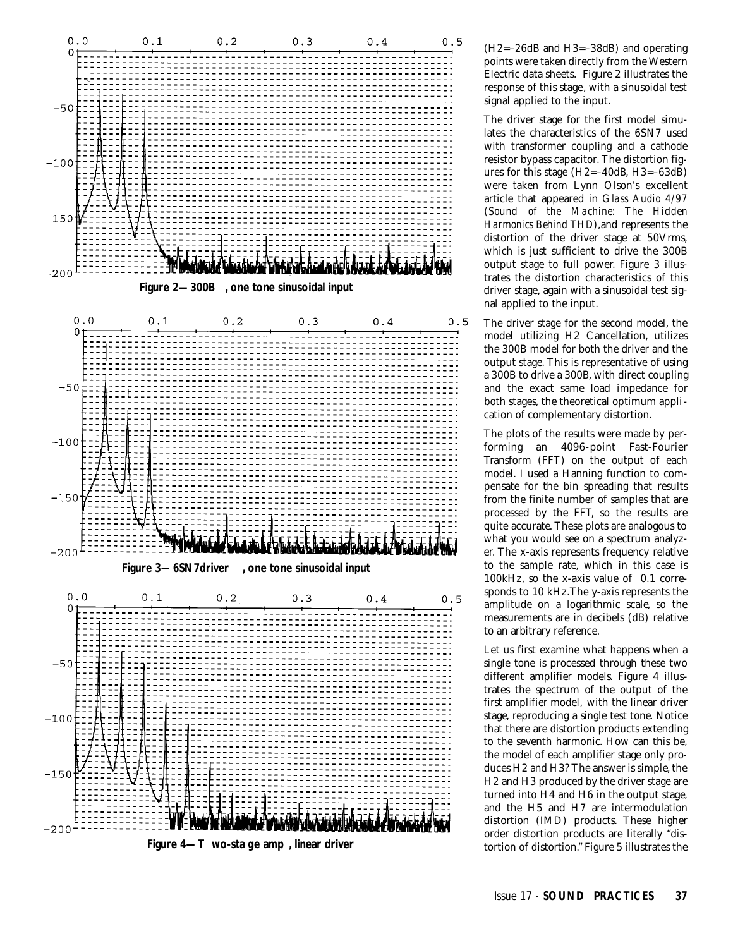

(H2=–26dB and H3=–38dB) and operating points were taken directly from the Western Electric data sheets. Figure 2 illustrates the response of this stage, with a sinusoidal test signal applied to the input.

The driver stage for the first model simulates the characteristics of the 6SN7 used with transformer coupling and a cathode resistor bypass capacitor. The distortion figures for this stage (H2=–40dB, H3=–63dB) were taken from Lynn Olson's excellent article that appeared in *Glass Audio 4/97* (*Sound of the Machine: The Hidden Harmonics Behind THD*),and represents the distortion of the driver stage at 50Vrms, which is just sufficient to drive the 300B output stage to full power. Figure 3 illustrates the distortion characteristics of this driver stage, again with a sinusoidal test signal applied to the input.

The driver stage for the second model, the model utilizing H2 Cancellation, utilizes the 300B model for both the driver and the output stage. This is representative of using a 300B to drive a 300B, with direct coupling and the exact same load impedance for both stages, the theoretical optimum application of complementary distortion.

The plots of the results were made by performing an 4096-point Fast-Fourier Transform (FFT) on the output of each model. I used a Hanning function to compensate for the bin spreading that results from the finite number of samples that are processed by the FFT, so the results are quite accurate. These plots are analogous to what you would see on a spectrum analyzer. The x-axis represents frequency relative to the sample rate, which in this case is 100kHz, so the x-axis value of 0.1 corresponds to 10 kHz.The y-axis represents the amplitude on a logarithmic scale, so the measurements are in decibels (dB) relative to an arbitrary reference.

Let us first examine what happens when a single tone is processed through these two different amplifier models. Figure 4 illustrates the spectrum of the output of the first amplifier model, with the linear driver stage, reproducing a single test tone. Notice that there are distortion products extending to the seventh harmonic. How can this be, the model of each amplifier stage only produces H2 and H3? The answer is simple, the H2 and H3 produced by the driver stage are turned into H4 and H6 in the output stage, and the H5 and H7 are intermodulation distortion (IMD) products. These higher order distortion products are literally "distortion of distortion." Figure 5 illustrates the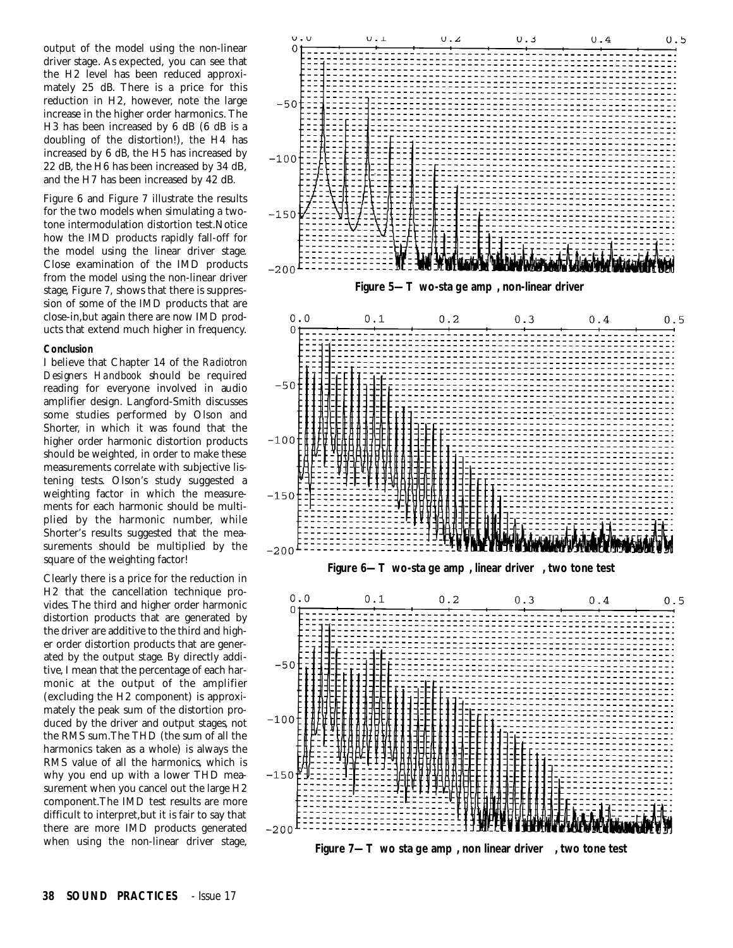output of the model using the non-linear driver stage. As expected, you can see that the H2 level has been reduced approximately 25 dB. There is a price for this reduction in H2, however, note the large increase in the higher order harmonics. The H3 has been increased by 6 dB (6 dB is a doubling of the distortion!), the H4 has increased by 6 dB, the H5 has increased by 22 dB, the H6 has been increased by 34 dB, and the H7 has been increased by 42 dB.

Figure 6 and Figure 7 illustrate the results for the two models when simulating a twotone intermodulation distortion test.Notice how the IMD products rapidly fall-off for the model using the linear driver stage. Close examination of the IMD products from the model using the non-linear driver stage, Figure 7, shows that there is suppression of some of the IMD products that are close-in,but again there are now IMD products that extend much higher in frequency.

#### **Conclusion**

I believe that Chapter 14 of the *Radiotron Designers Handbook* should be required reading for everyone involved in audio amplifier design. Langford-Smith discusses some studies performed by Olson and Shorter, in which it was found that the higher order harmonic distortion products should be weighted, in order to make these measurements correlate with subjective listening tests. Olson's study suggested a weighting factor in which the measurements for each harmonic should be multiplied by the harmonic number, while Shorter's results suggested that the measurements should be multiplied by the square of the weighting factor!

Clearly there is a price for the reduction in H2 that the cancellation technique provides. The third and higher order harmonic distortion products that are generated by the driver are additive to the third and higher order distortion products that are generated by the output stage. By directly additive, I mean that the percentage of each harmonic at the output of the amplifier (excluding the H2 component) is approximately the peak sum of the distortion produced by the driver and output stages, not the RMS sum.The THD (the sum of all the harmonics taken as a whole) is always the RMS value of all the harmonics, which is why you end up with a lower THD measurement when you cancel out the large H2 component.The IMD test results are more difficult to interpret,but it is fair to say that there are more IMD products generated when using the non-linear driver stage,